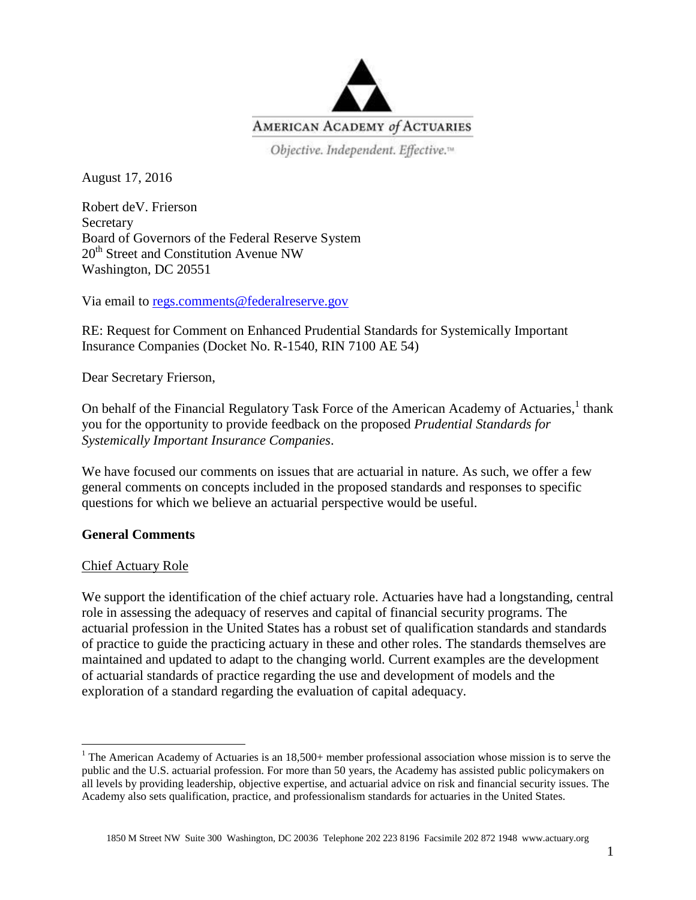

Objective. Independent. Effective.<sup>14</sup>

August 17, 2016

Robert deV. Frierson **Secretary** Board of Governors of the Federal Reserve System 20<sup>th</sup> Street and Constitution Avenue NW Washington, DC 20551

Via email to [regs.comments@federalreserve.gov](mailto:regs.comments@federalreserve.gov)

RE: Request for Comment on Enhanced Prudential Standards for Systemically Important Insurance Companies (Docket No. R-1540, RIN 7100 AE 54)

Dear Secretary Frierson,

On behalf of the Financial Regulatory Task Force of the American Academy of Actuaries, <sup>1</sup> thank you for the opportunity to provide feedback on the proposed *Prudential Standards for Systemically Important Insurance Companies*.

We have focused our comments on issues that are actuarial in nature. As such, we offer a few general comments on concepts included in the proposed standards and responses to specific questions for which we believe an actuarial perspective would be useful.

# **General Comments**

# Chief Actuary Role

 $\overline{a}$ 

We support the identification of the chief actuary role. Actuaries have had a longstanding, central role in assessing the adequacy of reserves and capital of financial security programs. The actuarial profession in the United States has a robust set of qualification standards and standards of practice to guide the practicing actuary in these and other roles. The standards themselves are maintained and updated to adapt to the changing world. Current examples are the development of actuarial standards of practice regarding the use and development of models and the exploration of a standard regarding the evaluation of capital adequacy.

<sup>&</sup>lt;sup>1</sup> The American Academy of Actuaries is an  $18,500+$  member professional association whose mission is to serve the public and the U.S. actuarial profession. For more than 50 years, the Academy has assisted public policymakers on all levels by providing leadership, objective expertise, and actuarial advice on risk and financial security issues. The Academy also sets qualification, practice, and professionalism standards for actuaries in the United States.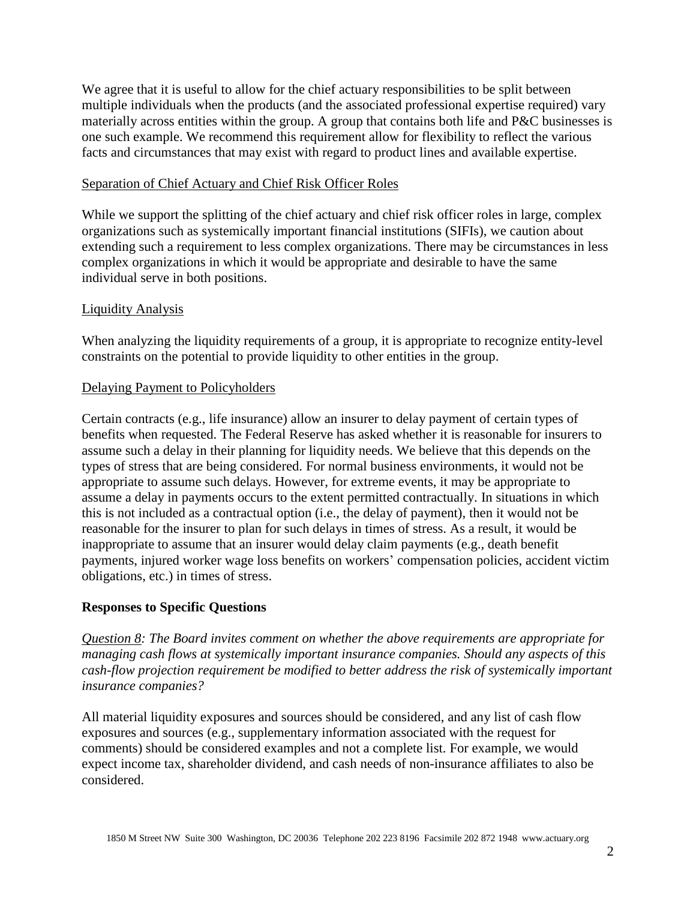We agree that it is useful to allow for the chief actuary responsibilities to be split between multiple individuals when the products (and the associated professional expertise required) vary materially across entities within the group. A group that contains both life and P&C businesses is one such example. We recommend this requirement allow for flexibility to reflect the various facts and circumstances that may exist with regard to product lines and available expertise.

# Separation of Chief Actuary and Chief Risk Officer Roles

While we support the splitting of the chief actuary and chief risk officer roles in large, complex organizations such as systemically important financial institutions (SIFIs), we caution about extending such a requirement to less complex organizations. There may be circumstances in less complex organizations in which it would be appropriate and desirable to have the same individual serve in both positions.

# Liquidity Analysis

When analyzing the liquidity requirements of a group, it is appropriate to recognize entity-level constraints on the potential to provide liquidity to other entities in the group.

# Delaying Payment to Policyholders

Certain contracts (e.g., life insurance) allow an insurer to delay payment of certain types of benefits when requested. The Federal Reserve has asked whether it is reasonable for insurers to assume such a delay in their planning for liquidity needs. We believe that this depends on the types of stress that are being considered. For normal business environments, it would not be appropriate to assume such delays. However, for extreme events, it may be appropriate to assume a delay in payments occurs to the extent permitted contractually. In situations in which this is not included as a contractual option (i.e., the delay of payment), then it would not be reasonable for the insurer to plan for such delays in times of stress. As a result, it would be inappropriate to assume that an insurer would delay claim payments (e.g., death benefit payments, injured worker wage loss benefits on workers' compensation policies, accident victim obligations, etc.) in times of stress.

# **Responses to Specific Questions**

*Question 8: The Board invites comment on whether the above requirements are appropriate for managing cash flows at systemically important insurance companies. Should any aspects of this cash-flow projection requirement be modified to better address the risk of systemically important insurance companies?*

All material liquidity exposures and sources should be considered, and any list of cash flow exposures and sources (e.g., supplementary information associated with the request for comments) should be considered examples and not a complete list. For example, we would expect income tax, shareholder dividend, and cash needs of non-insurance affiliates to also be considered.